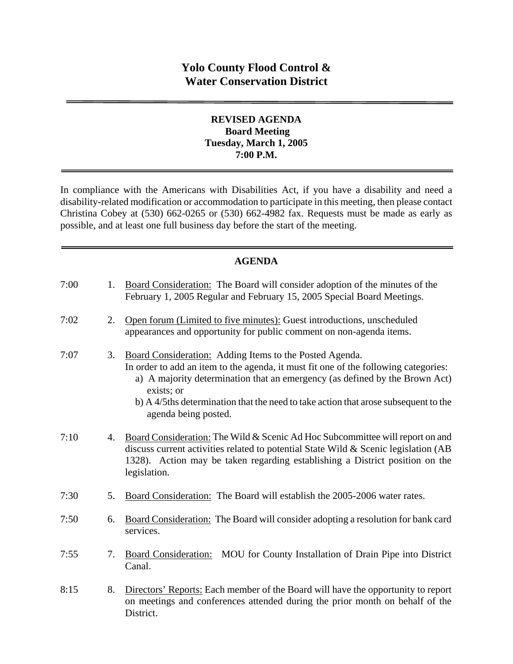# **REVISED AGENDA Board Meeting Tuesday, March 1, 2005 7:00 P.M.**

In compliance with the Americans with Disabilities Act, if you have a disability and need a disability-related modification or accommodation to participate in this meeting, then please contact Christina Cobey at (530) 662-0265 or (530) 662-4982 fax. Requests must be made as early as possible, and at least one full business day before the start of the meeting.

### **AGENDA**

| 7:00 | 1. | Board Consideration: The Board will consider adoption of the minutes of the<br>February 1, 2005 Regular and February 15, 2005 Special Board Meetings.                                                                                                                                                                                                      |
|------|----|------------------------------------------------------------------------------------------------------------------------------------------------------------------------------------------------------------------------------------------------------------------------------------------------------------------------------------------------------------|
| 7:02 | 2. | Open forum (Limited to five minutes): Guest introductions, unscheduled<br>appearances and opportunity for public comment on non-agenda items.                                                                                                                                                                                                              |
| 7:07 | 3. | Board Consideration: Adding Items to the Posted Agenda.<br>In order to add an item to the agenda, it must fit one of the following categories:<br>a) A majority determination that an emergency (as defined by the Brown Act)<br>exists; or<br>b) A 4/5ths determination that the need to take action that arose subsequent to the<br>agenda being posted. |
| 7:10 | 4. | Board Consideration: The Wild & Scenic Ad Hoc Subcommittee will report on and<br>discuss current activities related to potential State Wild & Scenic legislation (AB<br>1328). Action may be taken regarding establishing a District position on the<br>legislation.                                                                                       |
| 7:30 | 5. | Board Consideration: The Board will establish the 2005-2006 water rates.                                                                                                                                                                                                                                                                                   |
| 7:50 | 6. | Board Consideration: The Board will consider adopting a resolution for bank card<br>services.                                                                                                                                                                                                                                                              |
| 7:55 | 7. | MOU for County Installation of Drain Pipe into District<br><b>Board Consideration:</b><br>Canal.                                                                                                                                                                                                                                                           |
| 8:15 | 8. | Directors' Reports: Each member of the Board will have the opportunity to report<br>on meetings and conferences attended during the prior month on behalf of the<br>District.                                                                                                                                                                              |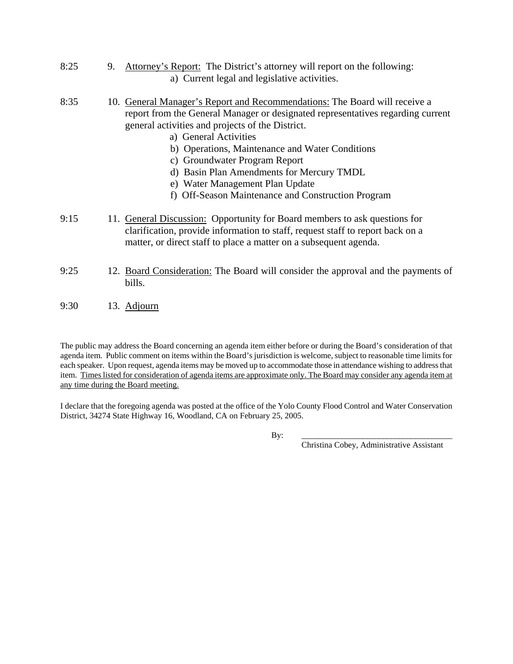- 8:25 9. Attorney's Report: The District's attorney will report on the following: a) Current legal and legislative activities.
- 8:35 10. General Manager's Report and Recommendations: The Board will receive a report from the General Manager or designated representatives regarding current general activities and projects of the District.
	- a) General Activities
	- b) Operations, Maintenance and Water Conditions
	- c) Groundwater Program Report
	- d) Basin Plan Amendments for Mercury TMDL
	- e) Water Management Plan Update
	- f) Off-Season Maintenance and Construction Program
- 9:15 11. General Discussion: Opportunity for Board members to ask questions for clarification, provide information to staff, request staff to report back on a matter, or direct staff to place a matter on a subsequent agenda.
- 9:25 12. Board Consideration: The Board will consider the approval and the payments of bills.
- 9:30 13. Adjourn

The public may address the Board concerning an agenda item either before or during the Board's consideration of that agenda item. Public comment on items within the Board's jurisdiction is welcome, subject to reasonable time limits for each speaker. Upon request, agenda items may be moved up to accommodate those in attendance wishing to address that item. Times listed for consideration of agenda items are approximate only. The Board may consider any agenda item at any time during the Board meeting.

I declare that the foregoing agenda was posted at the office of the Yolo County Flood Control and Water Conservation District, 34274 State Highway 16, Woodland, CA on February 25, 2005.

By: \_\_\_\_\_\_\_\_\_\_\_\_\_\_\_\_\_\_\_\_\_\_\_\_\_\_\_\_\_\_\_\_\_\_\_\_\_

Christina Cobey, Administrative Assistant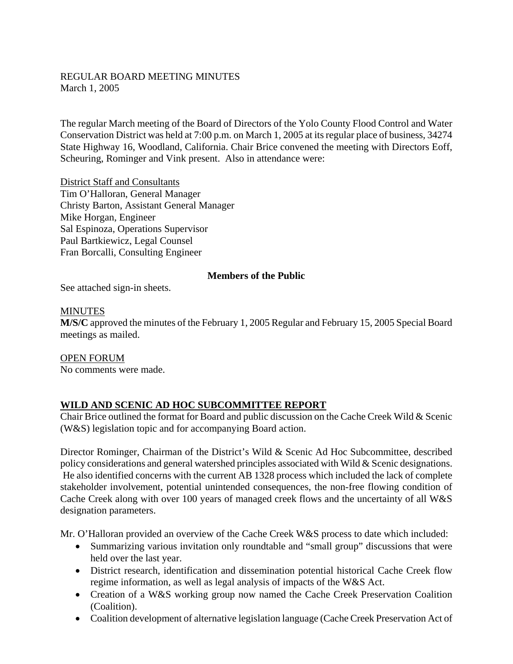# REGULAR BOARD MEETING MINUTES March 1, 2005

The regular March meeting of the Board of Directors of the Yolo County Flood Control and Water Conservation District was held at 7:00 p.m. on March 1, 2005 at its regular place of business, 34274 State Highway 16, Woodland, California. Chair Brice convened the meeting with Directors Eoff, Scheuring, Rominger and Vink present. Also in attendance were:

District Staff and Consultants Tim O'Halloran, General Manager Christy Barton, Assistant General Manager Mike Horgan, Engineer Sal Espinoza, Operations Supervisor Paul Bartkiewicz, Legal Counsel Fran Borcalli, Consulting Engineer

### **Members of the Public**

See attached sign-in sheets.

### **MINUTES**

**M/S/C** approved the minutes of the February 1, 2005 Regular and February 15, 2005 Special Board meetings as mailed.

# OPEN FORUM

No comments were made.

# **WILD AND SCENIC AD HOC SUBCOMMITTEE REPORT**

Chair Brice outlined the format for Board and public discussion on the Cache Creek Wild & Scenic (W&S) legislation topic and for accompanying Board action.

Director Rominger, Chairman of the District's Wild & Scenic Ad Hoc Subcommittee, described policy considerations and general watershed principles associated with Wild & Scenic designations. He also identified concerns with the current AB 1328 process which included the lack of complete stakeholder involvement, potential unintended consequences, the non-free flowing condition of Cache Creek along with over 100 years of managed creek flows and the uncertainty of all W&S designation parameters.

Mr. O'Halloran provided an overview of the Cache Creek W&S process to date which included:

- Summarizing various invitation only roundtable and "small group" discussions that were held over the last year.
- District research, identification and dissemination potential historical Cache Creek flow regime information, as well as legal analysis of impacts of the W&S Act.
- Creation of a W&S working group now named the Cache Creek Preservation Coalition (Coalition).
- Coalition development of alternative legislation language (Cache Creek Preservation Act of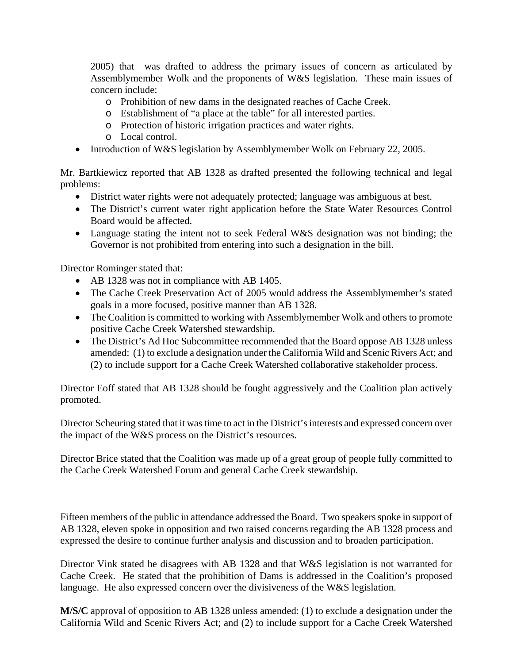2005) that was drafted to address the primary issues of concern as articulated by Assemblymember Wolk and the proponents of W&S legislation. These main issues of concern include:

- o Prohibition of new dams in the designated reaches of Cache Creek.
- o Establishment of "a place at the table" for all interested parties.
- o Protection of historic irrigation practices and water rights.
- o Local control.
- Introduction of W&S legislation by Assemblymember Wolk on February 22, 2005.

Mr. Bartkiewicz reported that AB 1328 as drafted presented the following technical and legal problems:

- District water rights were not adequately protected; language was ambiguous at best.
- The District's current water right application before the State Water Resources Control Board would be affected.
- Language stating the intent not to seek Federal W&S designation was not binding; the Governor is not prohibited from entering into such a designation in the bill.

Director Rominger stated that:

- AB 1328 was not in compliance with AB 1405.
- The Cache Creek Preservation Act of 2005 would address the Assemblymember's stated goals in a more focused, positive manner than AB 1328.
- The Coalition is committed to working with Assemblymember Wolk and others to promote positive Cache Creek Watershed stewardship.
- The District's Ad Hoc Subcommittee recommended that the Board oppose AB 1328 unless amended: (1) to exclude a designation under the California Wild and Scenic Rivers Act; and (2) to include support for a Cache Creek Watershed collaborative stakeholder process.

Director Eoff stated that AB 1328 should be fought aggressively and the Coalition plan actively promoted.

Director Scheuring stated that it was time to act in the District's interests and expressed concern over the impact of the W&S process on the District's resources.

Director Brice stated that the Coalition was made up of a great group of people fully committed to the Cache Creek Watershed Forum and general Cache Creek stewardship.

Fifteen members of the public in attendance addressed the Board. Two speakers spoke in support of AB 1328, eleven spoke in opposition and two raised concerns regarding the AB 1328 process and expressed the desire to continue further analysis and discussion and to broaden participation.

Director Vink stated he disagrees with AB 1328 and that W&S legislation is not warranted for Cache Creek. He stated that the prohibition of Dams is addressed in the Coalition's proposed language. He also expressed concern over the divisiveness of the W&S legislation.

**M/S/C** approval of opposition to AB 1328 unless amended: (1) to exclude a designation under the California Wild and Scenic Rivers Act; and (2) to include support for a Cache Creek Watershed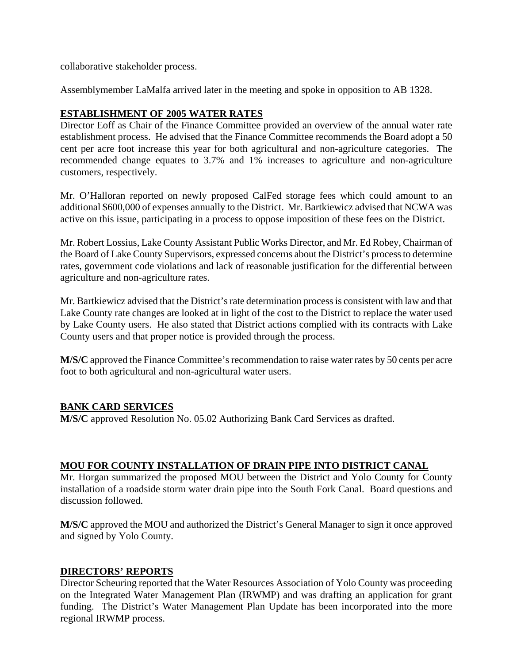collaborative stakeholder process.

Assemblymember LaMalfa arrived later in the meeting and spoke in opposition to AB 1328.

# **ESTABLISHMENT OF 2005 WATER RATES**

Director Eoff as Chair of the Finance Committee provided an overview of the annual water rate establishment process. He advised that the Finance Committee recommends the Board adopt a 50 cent per acre foot increase this year for both agricultural and non-agriculture categories. The recommended change equates to 3.7% and 1% increases to agriculture and non-agriculture customers, respectively.

Mr. O'Halloran reported on newly proposed CalFed storage fees which could amount to an additional \$600,000 of expenses annually to the District. Mr. Bartkiewicz advised that NCWA was active on this issue, participating in a process to oppose imposition of these fees on the District.

Mr. Robert Lossius, Lake County Assistant Public Works Director, and Mr. Ed Robey, Chairman of the Board of Lake County Supervisors, expressed concerns about the District's process to determine rates, government code violations and lack of reasonable justification for the differential between agriculture and non-agriculture rates.

Mr. Bartkiewicz advised that the District's rate determination process is consistent with law and that Lake County rate changes are looked at in light of the cost to the District to replace the water used by Lake County users. He also stated that District actions complied with its contracts with Lake County users and that proper notice is provided through the process.

**M/S/C** approved the Finance Committee's recommendation to raise water rates by 50 cents per acre foot to both agricultural and non-agricultural water users.

# **BANK CARD SERVICES**

**M/S/C** approved Resolution No. 05.02 Authorizing Bank Card Services as drafted.

# **MOU FOR COUNTY INSTALLATION OF DRAIN PIPE INTO DISTRICT CANAL**

Mr. Horgan summarized the proposed MOU between the District and Yolo County for County installation of a roadside storm water drain pipe into the South Fork Canal. Board questions and discussion followed.

**M/S/C** approved the MOU and authorized the District's General Manager to sign it once approved and signed by Yolo County.

# **DIRECTORS' REPORTS**

Director Scheuring reported that the Water Resources Association of Yolo County was proceeding on the Integrated Water Management Plan (IRWMP) and was drafting an application for grant funding. The District's Water Management Plan Update has been incorporated into the more regional IRWMP process.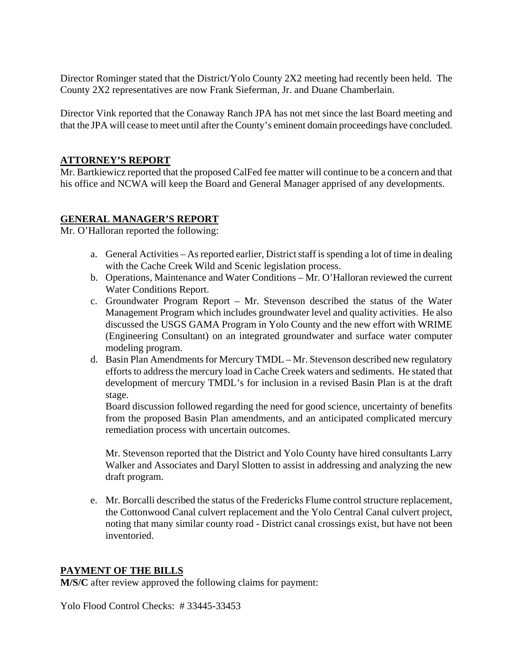Director Rominger stated that the District/Yolo County 2X2 meeting had recently been held. The County 2X2 representatives are now Frank Sieferman, Jr. and Duane Chamberlain.

Director Vink reported that the Conaway Ranch JPA has not met since the last Board meeting and that the JPA will cease to meet until after the County's eminent domain proceedings have concluded.

# **ATTORNEY'S REPORT**

Mr. Bartkiewicz reported that the proposed CalFed fee matter will continue to be a concern and that his office and NCWA will keep the Board and General Manager apprised of any developments.

# **GENERAL MANAGER'S REPORT**

Mr. O'Halloran reported the following:

- a. General Activities As reported earlier, District staff is spending a lot of time in dealing with the Cache Creek Wild and Scenic legislation process.
- b. Operations, Maintenance and Water Conditions Mr. O'Halloran reviewed the current Water Conditions Report.
- c. Groundwater Program Report Mr. Stevenson described the status of the Water Management Program which includes groundwater level and quality activities. He also discussed the USGS GAMA Program in Yolo County and the new effort with WRIME (Engineering Consultant) on an integrated groundwater and surface water computer modeling program.
- d. Basin Plan Amendments for Mercury TMDL Mr. Stevenson described new regulatory efforts to address the mercury load in Cache Creek waters and sediments. He stated that development of mercury TMDL's for inclusion in a revised Basin Plan is at the draft stage.

Board discussion followed regarding the need for good science, uncertainty of benefits from the proposed Basin Plan amendments, and an anticipated complicated mercury remediation process with uncertain outcomes.

Mr. Stevenson reported that the District and Yolo County have hired consultants Larry Walker and Associates and Daryl Slotten to assist in addressing and analyzing the new draft program.

e. Mr. Borcalli described the status of the Fredericks Flume control structure replacement, the Cottonwood Canal culvert replacement and the Yolo Central Canal culvert project, noting that many similar county road - District canal crossings exist, but have not been inventoried.

#### **PAYMENT OF THE BILLS**

**M/S/C** after review approved the following claims for payment:

Yolo Flood Control Checks: # 33445-33453